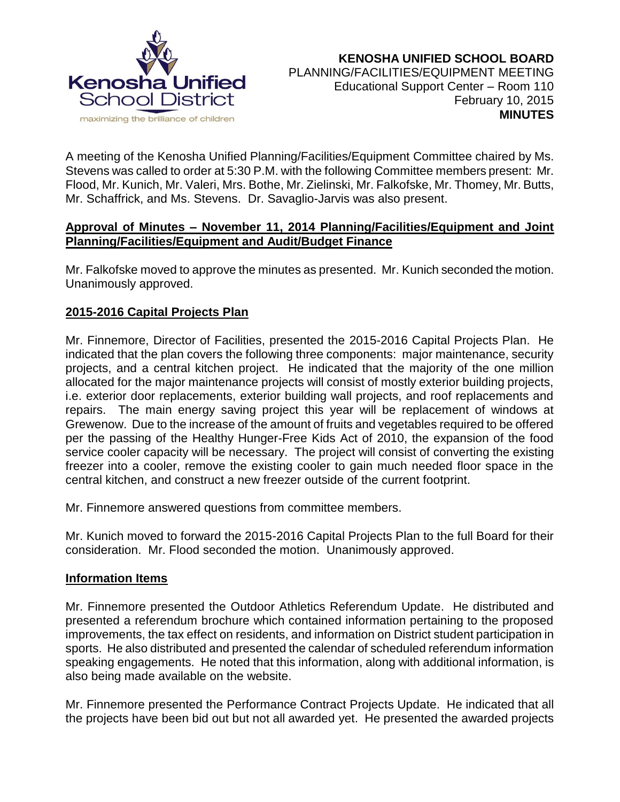

A meeting of the Kenosha Unified Planning/Facilities/Equipment Committee chaired by Ms. Stevens was called to order at 5:30 P.M. with the following Committee members present: Mr. Flood, Mr. Kunich, Mr. Valeri, Mrs. Bothe, Mr. Zielinski, Mr. Falkofske, Mr. Thomey, Mr. Butts, Mr. Schaffrick, and Ms. Stevens. Dr. Savaglio-Jarvis was also present.

### **Approval of Minutes – November 11, 2014 Planning/Facilities/Equipment and Joint Planning/Facilities/Equipment and Audit/Budget Finance**

Mr. Falkofske moved to approve the minutes as presented. Mr. Kunich seconded the motion. Unanimously approved.

# **2015-2016 Capital Projects Plan**

Mr. Finnemore, Director of Facilities, presented the 2015-2016 Capital Projects Plan. He indicated that the plan covers the following three components: major maintenance, security projects, and a central kitchen project. He indicated that the majority of the one million allocated for the major maintenance projects will consist of mostly exterior building projects, i.e. exterior door replacements, exterior building wall projects, and roof replacements and repairs. The main energy saving project this year will be replacement of windows at Grewenow. Due to the increase of the amount of fruits and vegetables required to be offered per the passing of the Healthy Hunger-Free Kids Act of 2010, the expansion of the food service cooler capacity will be necessary. The project will consist of converting the existing freezer into a cooler, remove the existing cooler to gain much needed floor space in the central kitchen, and construct a new freezer outside of the current footprint.

Mr. Finnemore answered questions from committee members.

Mr. Kunich moved to forward the 2015-2016 Capital Projects Plan to the full Board for their consideration. Mr. Flood seconded the motion. Unanimously approved.

### **Information Items**

Mr. Finnemore presented the Outdoor Athletics Referendum Update. He distributed and presented a referendum brochure which contained information pertaining to the proposed improvements, the tax effect on residents, and information on District student participation in sports. He also distributed and presented the calendar of scheduled referendum information speaking engagements. He noted that this information, along with additional information, is also being made available on the website.

Mr. Finnemore presented the Performance Contract Projects Update. He indicated that all the projects have been bid out but not all awarded yet. He presented the awarded projects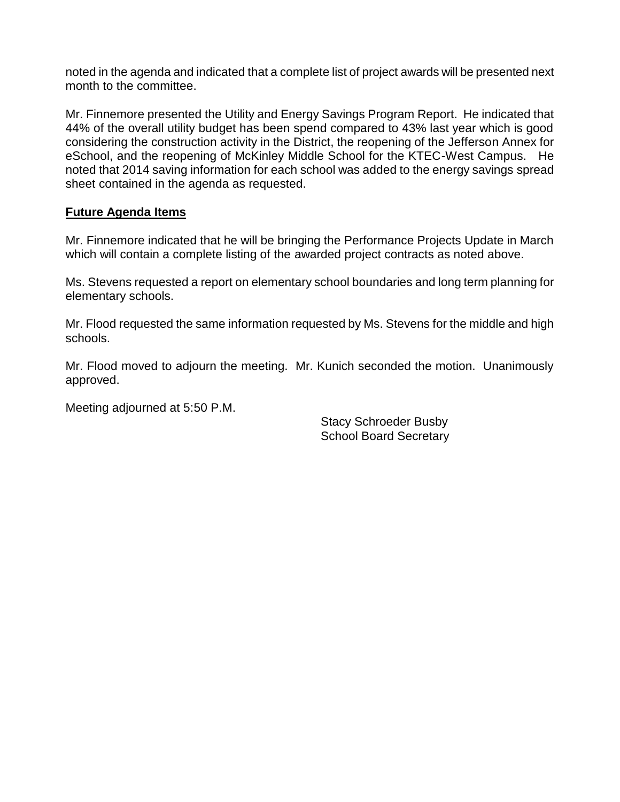noted in the agenda and indicated that a complete list of project awards will be presented next month to the committee.

Mr. Finnemore presented the Utility and Energy Savings Program Report. He indicated that 44% of the overall utility budget has been spend compared to 43% last year which is good considering the construction activity in the District, the reopening of the Jefferson Annex for eSchool, and the reopening of McKinley Middle School for the KTEC-West Campus. He noted that 2014 saving information for each school was added to the energy savings spread sheet contained in the agenda as requested.

### **Future Agenda Items**

Mr. Finnemore indicated that he will be bringing the Performance Projects Update in March which will contain a complete listing of the awarded project contracts as noted above.

Ms. Stevens requested a report on elementary school boundaries and long term planning for elementary schools.

Mr. Flood requested the same information requested by Ms. Stevens for the middle and high schools.

Mr. Flood moved to adjourn the meeting. Mr. Kunich seconded the motion. Unanimously approved.

Meeting adjourned at 5:50 P.M.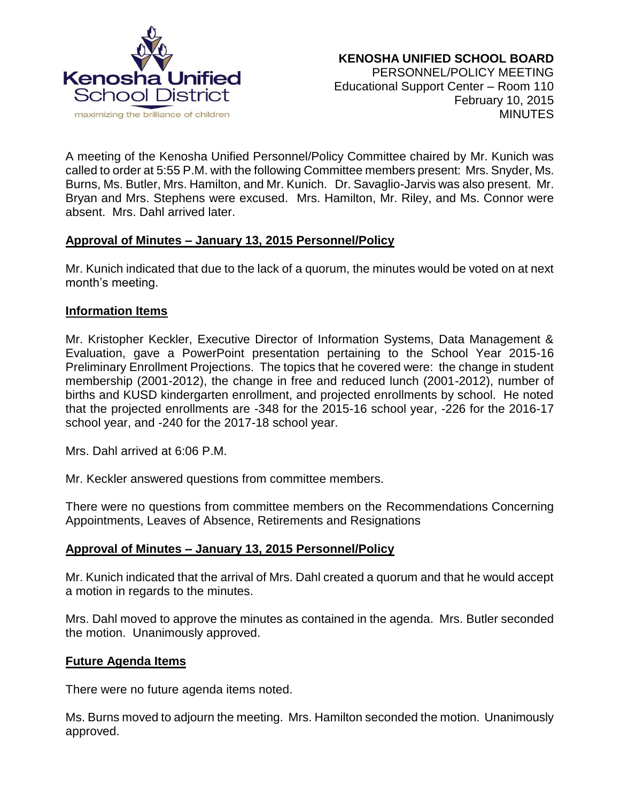

A meeting of the Kenosha Unified Personnel/Policy Committee chaired by Mr. Kunich was called to order at 5:55 P.M. with the following Committee members present: Mrs. Snyder, Ms. Burns, Ms. Butler, Mrs. Hamilton, and Mr. Kunich. Dr. Savaglio-Jarvis was also present. Mr. Bryan and Mrs. Stephens were excused. Mrs. Hamilton, Mr. Riley, and Ms. Connor were absent. Mrs. Dahl arrived later.

### **Approval of Minutes – January 13, 2015 Personnel/Policy**

Mr. Kunich indicated that due to the lack of a quorum, the minutes would be voted on at next month's meeting.

### **Information Items**

Mr. Kristopher Keckler, Executive Director of Information Systems, Data Management & Evaluation, gave a PowerPoint presentation pertaining to the School Year 2015-16 Preliminary Enrollment Projections. The topics that he covered were: the change in student membership (2001-2012), the change in free and reduced lunch (2001-2012), number of births and KUSD kindergarten enrollment, and projected enrollments by school. He noted that the projected enrollments are -348 for the 2015-16 school year, -226 for the 2016-17 school year, and -240 for the 2017-18 school year.

Mrs. Dahl arrived at 6:06 P.M.

Mr. Keckler answered questions from committee members.

There were no questions from committee members on the Recommendations Concerning Appointments, Leaves of Absence, Retirements and Resignations

### **Approval of Minutes – January 13, 2015 Personnel/Policy**

Mr. Kunich indicated that the arrival of Mrs. Dahl created a quorum and that he would accept a motion in regards to the minutes.

Mrs. Dahl moved to approve the minutes as contained in the agenda. Mrs. Butler seconded the motion. Unanimously approved.

### **Future Agenda Items**

There were no future agenda items noted.

Ms. Burns moved to adjourn the meeting. Mrs. Hamilton seconded the motion. Unanimously approved.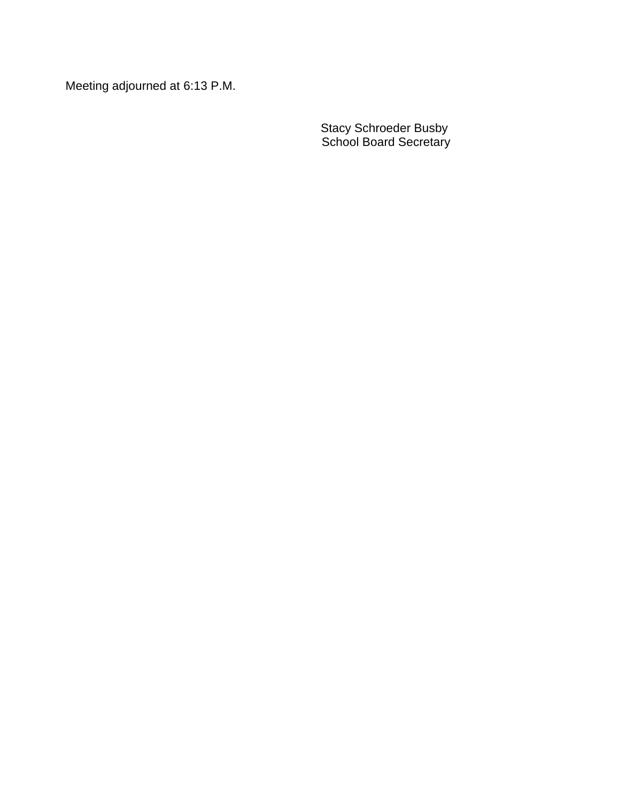Meeting adjourned at 6:13 P.M.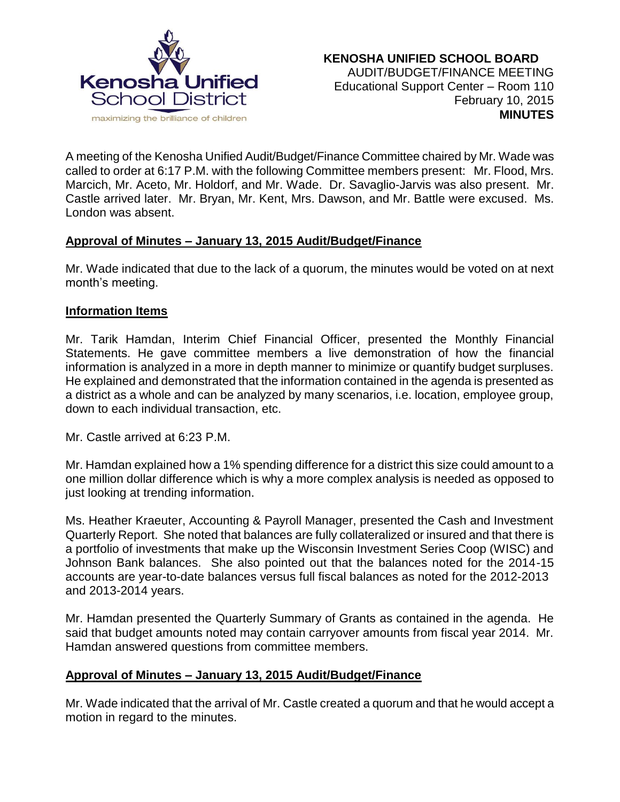

A meeting of the Kenosha Unified Audit/Budget/Finance Committee chaired by Mr. Wade was called to order at 6:17 P.M. with the following Committee members present: Mr. Flood, Mrs. Marcich, Mr. Aceto, Mr. Holdorf, and Mr. Wade. Dr. Savaglio-Jarvis was also present. Mr. Castle arrived later. Mr. Bryan, Mr. Kent, Mrs. Dawson, and Mr. Battle were excused. Ms. London was absent.

### **Approval of Minutes – January 13, 2015 Audit/Budget/Finance**

Mr. Wade indicated that due to the lack of a quorum, the minutes would be voted on at next month's meeting.

### **Information Items**

Mr. Tarik Hamdan, Interim Chief Financial Officer, presented the Monthly Financial Statements. He gave committee members a live demonstration of how the financial information is analyzed in a more in depth manner to minimize or quantify budget surpluses. He explained and demonstrated that the information contained in the agenda is presented as a district as a whole and can be analyzed by many scenarios, i.e. location, employee group, down to each individual transaction, etc.

Mr. Castle arrived at 6:23 P.M.

Mr. Hamdan explained how a 1% spending difference for a district this size could amount to a one million dollar difference which is why a more complex analysis is needed as opposed to just looking at trending information.

Ms. Heather Kraeuter, Accounting & Payroll Manager, presented the Cash and Investment Quarterly Report. She noted that balances are fully collateralized or insured and that there is a portfolio of investments that make up the Wisconsin Investment Series Coop (WISC) and Johnson Bank balances. She also pointed out that the balances noted for the 2014-15 accounts are year-to-date balances versus full fiscal balances as noted for the 2012-2013 and 2013-2014 years.

Mr. Hamdan presented the Quarterly Summary of Grants as contained in the agenda. He said that budget amounts noted may contain carryover amounts from fiscal year 2014. Mr. Hamdan answered questions from committee members.

## **Approval of Minutes – January 13, 2015 Audit/Budget/Finance**

Mr. Wade indicated that the arrival of Mr. Castle created a quorum and that he would accept a motion in regard to the minutes.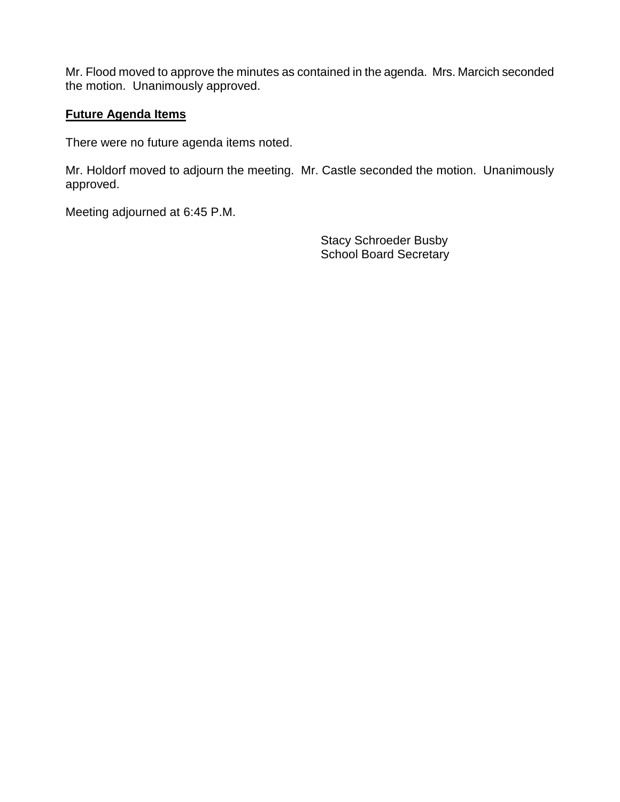Mr. Flood moved to approve the minutes as contained in the agenda. Mrs. Marcich seconded the motion. Unanimously approved.

## **Future Agenda Items**

There were no future agenda items noted.

Mr. Holdorf moved to adjourn the meeting. Mr. Castle seconded the motion. Unanimously approved.

Meeting adjourned at 6:45 P.M.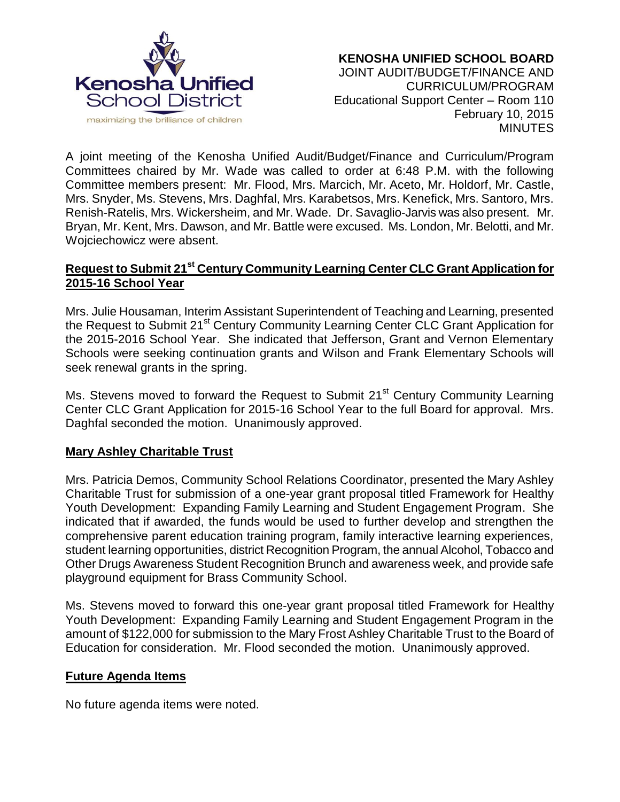

#### **KENOSHA UNIFIED SCHOOL BOARD** JOINT AUDIT/BUDGET/FINANCE AND CURRICULUM/PROGRAM Educational Support Center – Room 110 February 10, 2015 MINUTES

A joint meeting of the Kenosha Unified Audit/Budget/Finance and Curriculum/Program Committees chaired by Mr. Wade was called to order at 6:48 P.M. with the following Committee members present: Mr. Flood, Mrs. Marcich, Mr. Aceto, Mr. Holdorf, Mr. Castle, Mrs. Snyder, Ms. Stevens, Mrs. Daghfal, Mrs. Karabetsos, Mrs. Kenefick, Mrs. Santoro, Mrs. Renish-Ratelis, Mrs. Wickersheim, and Mr. Wade. Dr. Savaglio-Jarvis was also present. Mr. Bryan, Mr. Kent, Mrs. Dawson, and Mr. Battle were excused. Ms. London, Mr. Belotti, and Mr. Wojciechowicz were absent.

# **Request to Submit 21st Century Community Learning Center CLC Grant Application for 2015-16 School Year**

Mrs. Julie Housaman, Interim Assistant Superintendent of Teaching and Learning, presented the Request to Submit 21<sup>st</sup> Century Community Learning Center CLC Grant Application for the 2015-2016 School Year. She indicated that Jefferson, Grant and Vernon Elementary Schools were seeking continuation grants and Wilson and Frank Elementary Schools will seek renewal grants in the spring.

Ms. Stevens moved to forward the Request to Submit 21<sup>st</sup> Century Community Learning Center CLC Grant Application for 2015-16 School Year to the full Board for approval. Mrs. Daghfal seconded the motion. Unanimously approved.

## **Mary Ashley Charitable Trust**

Mrs. Patricia Demos, Community School Relations Coordinator, presented the Mary Ashley Charitable Trust for submission of a one-year grant proposal titled Framework for Healthy Youth Development: Expanding Family Learning and Student Engagement Program. She indicated that if awarded, the funds would be used to further develop and strengthen the comprehensive parent education training program, family interactive learning experiences, student learning opportunities, district Recognition Program, the annual Alcohol, Tobacco and Other Drugs Awareness Student Recognition Brunch and awareness week, and provide safe playground equipment for Brass Community School.

Ms. Stevens moved to forward this one-year grant proposal titled Framework for Healthy Youth Development: Expanding Family Learning and Student Engagement Program in the amount of \$122,000 for submission to the Mary Frost Ashley Charitable Trust to the Board of Education for consideration. Mr. Flood seconded the motion. Unanimously approved.

### **Future Agenda Items**

No future agenda items were noted.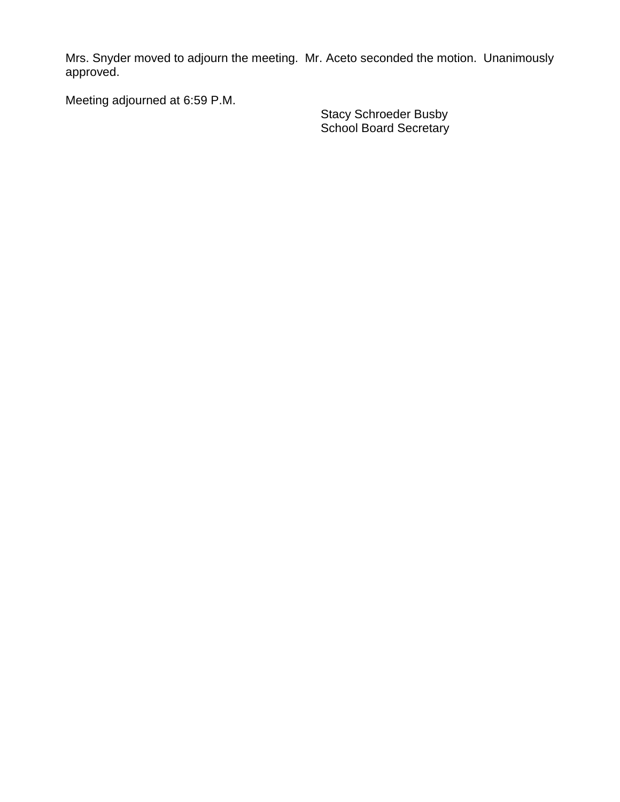Mrs. Snyder moved to adjourn the meeting. Mr. Aceto seconded the motion. Unanimously approved.

Meeting adjourned at 6:59 P.M.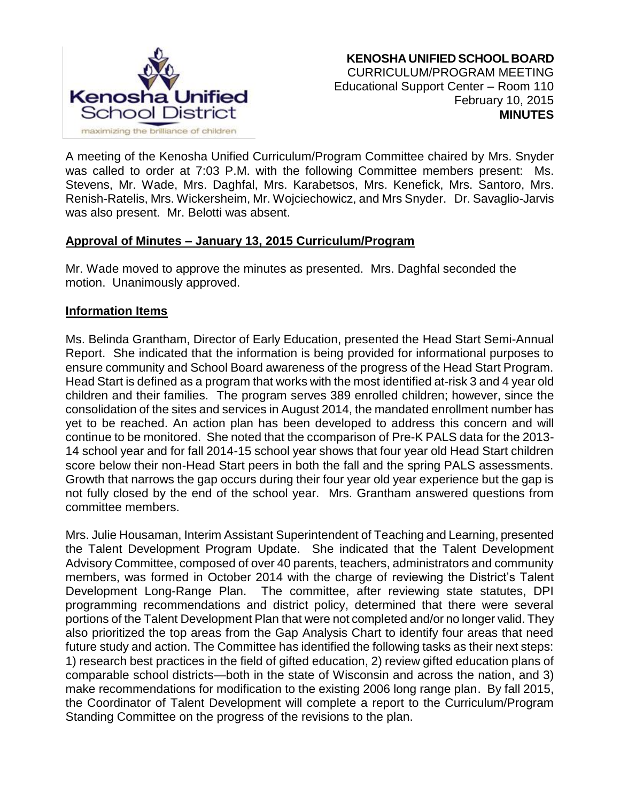

A meeting of the Kenosha Unified Curriculum/Program Committee chaired by Mrs. Snyder was called to order at 7:03 P.M. with the following Committee members present: Ms. Stevens, Mr. Wade, Mrs. Daghfal, Mrs. Karabetsos, Mrs. Kenefick, Mrs. Santoro, Mrs. Renish-Ratelis, Mrs. Wickersheim, Mr. Wojciechowicz, and Mrs Snyder. Dr. Savaglio-Jarvis was also present. Mr. Belotti was absent.

### **Approval of Minutes – January 13, 2015 Curriculum/Program**

Mr. Wade moved to approve the minutes as presented. Mrs. Daghfal seconded the motion. Unanimously approved.

### **Information Items**

Ms. Belinda Grantham, Director of Early Education, presented the Head Start Semi-Annual Report. She indicated that the information is being provided for informational purposes to ensure community and School Board awareness of the progress of the Head Start Program. Head Start is defined as a program that works with the most identified at-risk 3 and 4 year old children and their families. The program serves 389 enrolled children; however, since the consolidation of the sites and services in August 2014, the mandated enrollment number has yet to be reached. An action plan has been developed to address this concern and will continue to be monitored. She noted that the ccomparison of Pre-K PALS data for the 2013- 14 school year and for fall 2014-15 school year shows that four year old Head Start children score below their non-Head Start peers in both the fall and the spring PALS assessments. Growth that narrows the gap occurs during their four year old year experience but the gap is not fully closed by the end of the school year. Mrs. Grantham answered questions from committee members.

Mrs. Julie Housaman, Interim Assistant Superintendent of Teaching and Learning, presented the Talent Development Program Update. She indicated that the Talent Development Advisory Committee, composed of over 40 parents, teachers, administrators and community members, was formed in October 2014 with the charge of reviewing the District's Talent Development Long-Range Plan. The committee, after reviewing state statutes, DPI programming recommendations and district policy, determined that there were several portions of the Talent Development Plan that were not completed and/or no longer valid. They also prioritized the top areas from the Gap Analysis Chart to identify four areas that need future study and action. The Committee has identified the following tasks as their next steps: 1) research best practices in the field of gifted education, 2) review gifted education plans of comparable school districts—both in the state of Wisconsin and across the nation, and 3) make recommendations for modification to the existing 2006 long range plan. By fall 2015, the Coordinator of Talent Development will complete a report to the Curriculum/Program Standing Committee on the progress of the revisions to the plan.